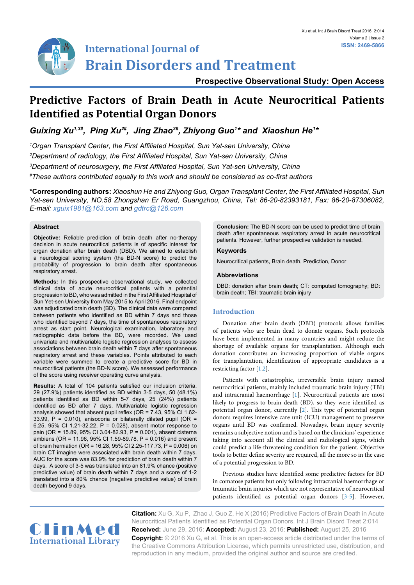

# **International Journal of Brain Disorders and Treatment**

**Prospective Observational Study: Open Access**

# **Predictive Factors of Brain Death in Acute Neurocritical Patients Identified as Potential Organ Donors**

*Guixing Xu1,3#, Ping Xu2#, Jing Zhao2#, Zhiyong Guo1 \* and Xiaoshun He1 \**

 *Organ Transplant Center, the First Affiliated Hospital, Sun Yat-sen University, China Department of radiology, the First Affiliated Hospital, Sun Yat-sen University, China Department of neurosurgery, the First Affiliated Hospital, Sun Yat-sen University, China # These authors contributed equally to this work and should be considered as co-first authors* 

**\*Corresponding authors:** *Xiaoshun He and Zhiyong Guo, Organ Transplant Center, the First Affiliated Hospital, Sun Yat-sen University, NO.58 Zhongshan Er Road, Guangzhou, China, Tel: 86-20-82393181, Fax: 86-20-87306082, E-mail: xguix1981@163.com and gdtrc@126.com*

# **Abstract**

**Objective:** Reliable prediction of brain death after no-therapy decision in acute neurocritical patients is of specific interest for organ donation after brain death (DBD). We aimed to establish a neurological scoring system (the BD-N score) to predict the probability of progression to brain death after spontaneous respiratory arrest.

**Methods:** In this prospective observational study, we collected clinical data of acute neurocritical patients with a potential progression to BD, who was admitted in the First Affiliated Hospital of Sun Yet-sen University from May 2015 to April 2016. Final endpoint was adjudicated brain death (BD). The clinical data were compared between patients who identified as BD within 7 days and those who identified beyond 7 days, the time of spontaneous respiratory arrest as start point. Neurological examination, laboratory and radiographic data before the BD, were recorded. We used univariate and multivariable logistic regression analyses to assess associations between brain death within 7 days after spontaneous respiratory arrest and these variables. Points attributed to each variable were summed to create a predictive score for BD in neurocritical patients (the BD-N score). We assessed performance of the score using receiver operating curve analysis.

**Results:** A total of 104 patients satisfied our inclusion criteria. 29 (27.9%) patients identified as BD within 3-5 days, 50 (48.1%) patients identified as BD within 5-7 days, 25 (24%) patients identified as BD after 7 days. Multivariable logistic regression analysis showed that absent pupil reflex (OR = 7.43, 95% CI 1.62- 33.99,  $P = 0.010$ ), anisocoria or bilaterally dilated pupil (OR = 6.25, 95% CI 1.21-32.22, P = 0.028), absent motor response to pain (OR = 15.89, 95% CI 3.04-82.93, P = 0.001), absent cisterna ambiens (OR = 11.96, 95% CI 1.59-89.78, P = 0.016) and present of brain herniation (OR = 16.28, 95% CI 2.25-117.73, P = 0.006) on brain CT imagine were associated with brain death within 7 days. AUC for the score was 83.9% for prediction of brain death within 7 days. A score of 3-5 was translated into an 81.9% chance (positive predictive value) of brain death within 7 days and a score of 1-2 translated into a 80% chance (negative predictive value) of brain death beyond 9 days.

**Conclusion:** The BD-N score can be used to predict time of brain death after spontaneous respiratory arrest in acute neurocritical patients. However, further prospective validation is needed.

## **Keywords**

Neurocritical patients, Brain death, Prediction, Donor

## **Abbreviations**

DBD: donation after brain death; CT: computed tomography; BD: brain death; TBI: traumatic brain injury

# **Introduction**

Donation after brain death (DBD) protocols allows families of patients who are brain dead to donate organs. Such protocols have been implemented in many countries and might reduce the shortage of available organs for transplantation. Although such donation contributes an increasing proportion of viable organs for transplantation, identification of appropriate candidates is a restricting factor [\[1,](#page-4-0)[2](#page-4-1)].

Patients with catastrophic, irreversible brain injury named neurocritical patients, mainly included traumatic brain injury (TBI) and intracranial haemorrhage [\[1\]](#page-4-0). Neurocritical patients are most likely to progress to brain death (BD), so they were identified as potential organ donor, currently [\[2](#page-4-1)]. This type of potential organ donors requires intensive care unit (ICU) management to preserve organs until BD was confirmed. Nowadays, brain injury severity remains a subjective notion and is based on the clinicians' experience taking into account all the clinical and radiological signs, which could predict a life-threatening condition for the patient. Objective tools to better define severity are required, all the more so in the case of a potential progression to BD.

Previous studies have identified some predictive factors for BD in comatose patients but only following intracranial haemorrhage or traumatic brain injuries which are not representative of neurocritical patients identified as potential organ donors [[3](#page-4-2)[-5\]](#page-4-3). However,



**Citation:** Xu G, Xu P, Zhao J, Guo Z, He X (2016) Predictive Factors of Brain Death in Acute Neurocritical Patients Identified as Potential Organ Donors. Int J Brain Disord Treat 2:014 **Received:** June 29, 2016: **Accepted:** August 23, 2016: **Published:** August 25, 2016 **Copyright:** © 2016 Xu G, et al. This is an open-access article distributed under the terms of the Creative Commons Attribution License, which permits unrestricted use, distribution, and reproduction in any medium, provided the original author and source are credited.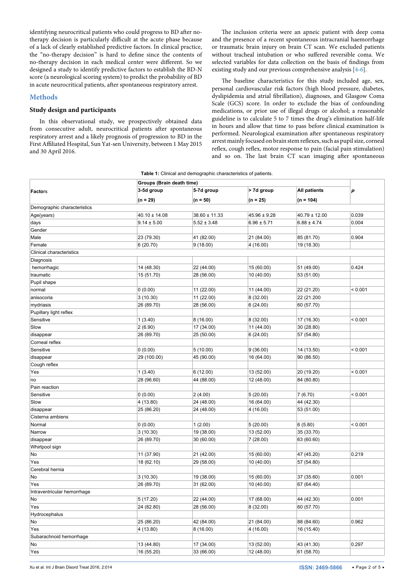identifying neurocritical patients who could progress to BD after notherapy decision is particularly difficult at the acute phase because of a lack of clearly established predictive factors. In clinical practice, the "no-therapy decision" is hard to define since the contents of no-therapy decision in each medical center were different. So we designed a study to identify predictive factors to establish the BD-N score (a neurological scoring system) to predict the probability of BD in acute neurocritical patients, after spontaneous respiratory arrest.

#### **Methods**

# **Study design and participants**

In this observational study, we prospectively obtained data from consecutive adult, neurocritical patients after spontaneous respiratory arrest and a likely prognosis of progression to BD in the First Affiliated Hospital, Sun Yat-sen University, between 1 May 2015 and 30 April 2016.

The inclusion criteria were an apneic patient with deep coma and the presence of a recent spontaneous intracranial haemorrhage or traumatic brain injury on brain CT scan. We excluded patients without tracheal intubation or who suffered reversible coma. We selected variables for data collection on the basis of findings from existing study and our previous comprehensive analysis [[4-](#page-4-4)[6](#page-4-5)].

The baseline characteristics for this study included age, sex, personal cardiovascular risk factors (high blood pressure, diabetes, dyslipidemia and atrial fibrillation), diagnoses, and Glasgow Coma Scale (GCS) score. In order to exclude the bias of confounding medications, or prior use of illegal drugs or alcohol; a reasonable guideline is to calculate 5 to 7 times the drug's elimination half-life in hours and allow that time to pass before clinical examination is performed. Neurological examination after spontaneous respiratory arrest mainly focused on brain stem reflexes, such as pupil size, corneal reflex, cough reflex, motor response to pain (facial pain stimulation) and so on. The last brain CT scan imaging after spontaneous

<span id="page-1-0"></span>

|  |  |  |  | Table 1: Clinical and demographic characteristics of patients. |  |
|--|--|--|--|----------------------------------------------------------------|--|
|--|--|--|--|----------------------------------------------------------------|--|

|                             | Groups (Brain death time) |                   |                  |                     |         |
|-----------------------------|---------------------------|-------------------|------------------|---------------------|---------|
| <b>Factors</b>              | 3-5d group                | 5-7d group        | > 7d group       | <b>All patients</b> | P       |
|                             | $(n = 29)$                | $(n = 50)$        | $(n = 25)$       | $(n = 104)$         |         |
| Demographic characteristics |                           |                   |                  |                     |         |
| Age(years)                  | $40.10 \pm 14.08$         | $38.60 \pm 11.33$ | $45.96 \pm 9.28$ | $40.79 \pm 12.00$   | 0.039   |
| days                        | $9.14 \pm 5.00$           | $5.52 \pm 3.48$   | $6.96 \pm 5.71$  | $6.88 \pm 4.74$     | 0.004   |
| Gender                      |                           |                   |                  |                     |         |
| Male                        | 23 (79.30)                | 41 (82.00)        | 21 (84.00)       | 85 (81.70)          | 0.904   |
| Female                      | 6(20.70)                  | 9(18.00)          | 4 (16.00)        | 19 (18.30)          |         |
| Clinical characteristics    |                           |                   |                  |                     |         |
| Diagnosis                   |                           |                   |                  |                     |         |
| hemorrhagic                 | 14 (48.30)                | 22 (44.00)        | 15 (60.00)       | 51 (49.00)          | 0.424   |
| traumatic                   | 15 (51.70)                | 28 (56.00)        | 10 (40.00)       | 53 (51.00)          |         |
| Pupil shape                 |                           |                   |                  |                     |         |
| normal                      | 0(0.00)                   | 11 (22.00)        | 11 (44.00)       | 22 (21.20)          | < 0.001 |
| anisocoria                  | 3(10.30)                  | 11 (22.00)        | 8 (32.00)        | 22 (21.200          |         |
| mydriasis                   | 26 (89.70)                | 28 (56.00)        | 6(24.00)         | 60 (57.70)          |         |
| Pupillary light reflex      |                           |                   |                  |                     |         |
| Sensitive                   | 1(3.40)                   | 8(16.00)          | 8 (32.00)        | 17 (16.30)          | < 0.001 |
| Slow                        | 2(6.90)                   | 17 (34.00)        | 11 (44.00)       | 30 (28.80)          |         |
| disappear                   | 26 (89.70)                | 25 (50.00)        | 6(24.00)         | 57 (54.80)          |         |
| Corneal reflex              |                           |                   |                  |                     |         |
| Sensitive                   | 0(0.00)                   | 5(10.00)          | 9(36.00)         | 14 (13.50)          | < 0.001 |
| disappear                   | 29 (100.00)               | 45 (90.00)        | 16 (64.00)       | 90 (86.50)          |         |
| Cough reflex                |                           |                   |                  |                     |         |
| Yes                         | 1(3.40)                   | 6(12.00)          | 13 (52.00)       | 20 (19.20)          | < 0.001 |
| no                          | 28 (96.60)                | 44 (88.00)        | 12 (48.00)       | 84 (80.80)          |         |
| Pain reaction               |                           |                   |                  |                     |         |
| Sensitive                   | 0(0.00)                   | 2(4.00)           | 5(20.00)         | 7(6.70)             | < 0.001 |
| Slow                        | 4 (13.80)                 | 24 (48.00)        | 16 (64.00)       | 44 (42.30)          |         |
| disappear                   | 25 (86.20)                | 24 (48.00)        | 4 (16.00)        | 53 (51.00)          |         |
| Cisterna ambiens            |                           |                   |                  |                     |         |
| Normal                      | 0(0.00)                   | 1(2.00)           | 5(20.00)         | 6(5.80)             | < 0.001 |
| Narrow                      | 3(10.30)                  | 19 (38.00)        | 13 (52.00)       | 35 (33.70)          |         |
| disappear                   | 26 (89.70)                | 30 (60.00)        | 7(28.00)         | 63 (60.60)          |         |
| Whirlpool sign              |                           |                   |                  |                     |         |
| No                          | 11 (37.90)                | 21 (42.00)        | 15 (60.00)       | 47 (45.20)          | 0.219   |
| Yes                         | 18 (62.10)                | 29 (58.00)        | 10 (40.00)       | 57 (54.80)          |         |
| Cerebral hernia             |                           |                   |                  |                     |         |
| No                          | 3(10.30)                  | 19 (38.00)        | 15 (60.00)       | 37 (35.60)          | 0.001   |
| Yes                         | 26 (89.70)                | 31 (62.00)        | 10 (40.00)       | 67 (64.40)          |         |
| Intraventricular hemorrhage |                           |                   |                  |                     |         |
| No                          | 5(17.20)                  | 22 (44.00)        | 17 (68.00)       | 44 (42.30)          | 0.001   |
| Yes                         | 24 (82.80)                | 28 (56.00)        | 8 (32.00)        | 60 (57.70)          |         |
| Hydrocephalus               |                           |                   |                  |                     |         |
| No                          | 25 (86.20)                | 42 (84.00)        | 21 (84.00)       | 88 (84.60)          | 0.962   |
| Yes                         | 4 (13.80)                 | 8(16.00)          | 4(16.00)         | 16 (15.40)          |         |
| Subarachnoid hemorrhage     |                           |                   |                  |                     |         |
| No                          | 13 (44.80)                | 17 (34.00)        | 13 (52.00)       | 43 (41.30)          | 0.297   |
| Yes                         | 16 (55.20)                | 33 (66.00)        | 12 (48.00)       | 61 (58.70)          |         |
|                             |                           |                   |                  |                     |         |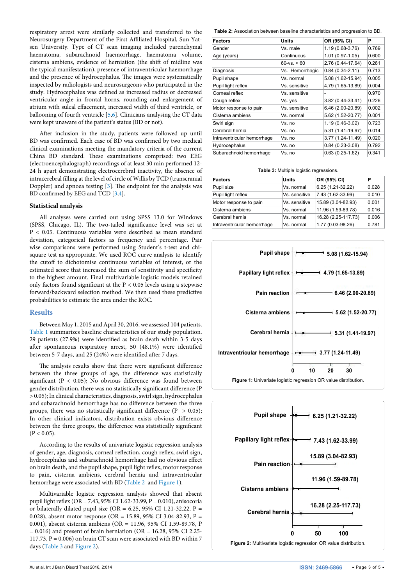respiratory arrest were similarly collected and transferred to the Neurosurgery Department of the First Affiliated Hospital, Sun Yatsen University. Type of CT scan imaging included parenchymal haematoma, subarachnoid haemorrhage, haematoma volume, cisterna ambiens, evidence of herniation (the shift of midline was the typical manifestation), presence of intraventricular haemorrhage and the presence of hydrocephalus. The images were systematically inspected by radiologists and neurosurgeons who participated in the study. Hydrocephalus was defined as increased radius or decreased ventricular angle in frontal horns, rounding and enlargement of atrium with sulcal effacement, increased width of third ventricle, or ballooning of fourth ventricle [[5](#page-4-3)[,6](#page-4-5)]. Clinicians analysing the CT data were kept unaware of the patient's status (BD or not).

After inclusion in the study, patients were followed up until BD was confirmed. Each case of BD was confirmed by two medical clinical examinations meeting the mandatory criteria of the current China BD standard. These examinations comprised: two EEG (electroencephalograph) recordings of at least 30 min performed 12- 24 h apart demonstrating electrocerebral inactivity, the absence of intracerebral filling at the level of circle of Willis by TCD (transcranial Doppler) and apnoea testing [[3](#page-4-2)]. The endpoint for the analysis was BD confirmed by EEG and TCD [\[3,](#page-4-2)[4](#page-4-4)].

#### **Statistical analysis**

All analyses were carried out using SPSS 13.0 for Windows (SPSS, Chicago, IL). The two-tailed significance level was set at P < 0.05. Continuous variables were described as mean standard deviation, categorical factors as frequency and percentage. Pair wise comparisons were performed using Student's t-test and chisquare test as appropriate. We used ROC curve analysis to identify the cutoff to dichotomise continuous variables of interest, or the estimated score that increased the sum of sensitivity and specificity to the highest amount. Final multivariable logistic models retained only factors found significant at the P < 0.05 levels using a stepwise forward/backward selection method. We then used these predictive probabilities to estimate the area under the ROC.

#### **Results**

Between May 1, 2015 and April 30, 2016, we assessed 104 patients. [Table 1](#page-1-0) summarizes baseline characteristics of our study population. 29 patients (27.9%) were identified as brain death within 3-5 days after spontaneous respiratory arrest, 50 (48.1%) were identified between 5-7 days, and 25 (24%) were identified after 7 days.

The analysis results show that there were significant difference between the three groups of age, the difference was statistically significant ( $P < 0.05$ ); No obvious difference was found between gender distribution, there was no statistically significant difference (P > 0.05); In clinical characteristics, diagnosis, swirl sign, hydrocephalus and subarachnoid hemorrhage has no difference between the three groups, there was no statistically significant difference ( $P > 0.05$ ); In other clinical indicators, distribution exists obvious difference between the three groups, the difference was statistically significant  $(P < 0.05)$ .

According to the results of univariate logistic regression analysis of gender, age, diagnosis, corneal reflection, cough reflex, swirl sign, hydrocephalus and subarachnoid hemorrhage had no obvious effect on brain death, and the pupil shape, pupil light reflex, motor response to pain, cisterna ambiens, cerebral hernia and intraventricular hemorrhage were associated with BD ([Table 2](#page-2-0) and [Figure 1\)](#page-2-1).

Multivariable logistic regression analysis showed that absent pupil light reflex ( $OR = 7.43$ , 95% CI 1.62-33.99, P = 0.010), anisocoria or bilaterally dilated pupil size (OR = 6.25, 95% CI 1.21-32.22, P = 0.028), absent motor response (OR = 15.89, 95% CI 3.04-82.93, P = 0.001), absent cisterna ambiens (OR = 11.96, 95% CI 1.59-89.78, P  $= 0.016$ ) and present of brain herniation (OR  $= 16.28$ , 95% CI 2.25-117.73,  $P = 0.006$ ) on brain CT scan were associated with BD within 7 days ([Table 3](#page-2-2) and [Figure 2\)](#page-2-3).

<span id="page-2-0"></span>**Table 2:** Association between baseline characteristics and progression to BD.

| <b>Factors</b>              | Units           | OR (95% CI)         | Ρ     |
|-----------------------------|-----------------|---------------------|-------|
| Gender                      | Vs. male        | 1.19 (0.68-3.76)    | 0.769 |
| Age (years)                 | Continuous      | $1.01(0.97-1.05)$   | 0.600 |
|                             | $60 - vs. < 60$ | 2.76 (0.44-17.64)   | 0.281 |
| Diagnosis                   | Vs. Hemorrhagic | $0.84(0.34 - 2.11)$ | 0.713 |
| Pupil shape                 | Vs. normal      | 5.08 (1.62-15.94)   | 0.005 |
| Pupil light reflex          | Vs. sensitive   | 4.79 (1.65-13.89)   | 0.004 |
| Corneal reflex              | Vs. sensitive   | ۰                   | 0.970 |
| Cough reflex                | Vs. yes         | 3.82 (0.44-33.41)   | 0.226 |
| Motor response to pain      | Vs. sensitive   | 6.46 (2.00-20.89)   | 0.002 |
| Cisterna ambiens            | Vs. normal      | 5.62 (1.52-20.77)   | 0.001 |
| Swirl sign                  | Vs. no          | 1.19 (0.46-3.02)    | 0.723 |
| Cerebral hernia             | Vs. no          | 5.31 (1.41-19.97)   | 0.014 |
| Intraventricular hemorrhage | Vs. no          | 3.77 (1.24-11.49)   | 0.020 |
| Hydrocephalus               | Vs. no          | $0.84(0.23-3.08)$   | 0.792 |
| Subarachnoid hemorrhage     | Vs. no          | $0.63(0.25-1.62)$   | 0.341 |

<span id="page-2-2"></span>**Table 3:** Multiple logistic regressions.

| <b>Factors</b>              | <b>Units</b>  | OR (95% CI)         | Р     |
|-----------------------------|---------------|---------------------|-------|
| Pupil size                  | Vs. normal    | 6.25 (1.21-32.22)   | 0.028 |
| Pupil light reflex          | Vs. sensitive | 7.43 (1.62-33.99)   | 0.010 |
| Motor response to pain      | Vs. sensitive | 15.89 (3.04-82.93)  | 0.001 |
| Cisterna ambiens            | Vs. normal    | 11.96 (1.59-89.78)  | 0.016 |
| Cerebral hernia             | Vs. normal    | 16.28 (2.25-117.73) | 0.006 |
| Intraventricular hemorrhage | Vs. normal    | 1.77 (0.03-98.26)   | 0.781 |

<span id="page-2-1"></span>

<span id="page-2-3"></span>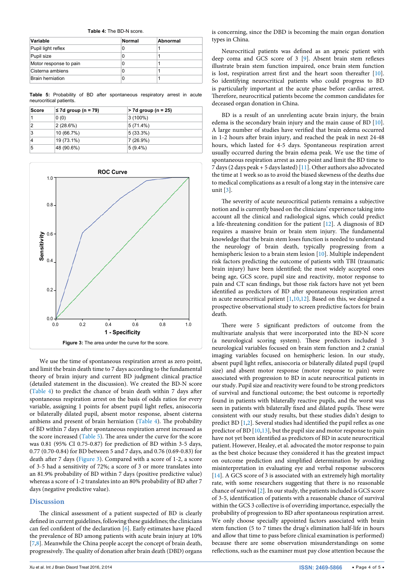<span id="page-3-0"></span>**Table 4:** The BD-N score.

| Variable                | <b>Normal</b> | Abnormal |
|-------------------------|---------------|----------|
| Pupil light reflex      | 0             |          |
| Pupil size              | 0             |          |
| Motor response to pain  | 0             |          |
| Cisterna ambiens        | 0             |          |
| <b>Brain herniation</b> | 0             |          |

<span id="page-3-1"></span>**Table 5:** Probability of BD after spontaneous respiratory arrest in acute neurocritical patients.

| Score | $\leq$ 7d group (n = 79) | $> 7d$ group (n = 25) |
|-------|--------------------------|-----------------------|
|       | 0(0)                     | $3(100\%)$            |
| 2     | 2(28.6%)                 | $ 5(71.4\%)$          |
| 3     | 10 (66.7%)               | $5(33.3\%)$           |
| 4     | 19 (73.1%)               | $ 7(26.9\%)$          |
| 5     | 48 (90.6%)               | $5(9.4\%)$            |

<span id="page-3-2"></span>

We use the time of spontaneous respiration arrest as zero point, and limit the brain death time to 7 days according to the fundamental theory of brain injury and current BD judgment clinical practice (detailed statement in the discussion). We created the BD-N score ([Table 4\)](#page-3-0) to predict the chance of brain death within 7 days after spontaneous respiration arrest on the basis of odds ratios for every variable, assigning 1 points for absent pupil light reflex, anisocoria or bilaterally dilated pupil, absent motor response, absent cisterna ambiens and present of brain herniation ([Table 4](#page-3-0)). The probability of BD within 7 days after spontaneous respiration arrest increased as the score increased [\(Table 5](#page-3-1)). The area under the curve for the score was 0.81 (95% CI 0.75-0.87) for prediction of BD within 3-5 days, 0.77 (0.70-0.84) for BD between 5 and 7 days, and 0.76 (0.69-0.83) for death after 7 days ([Figure 3](#page-3-2)). Compared with a score of 1-2, a score of 3-5 had a sensitivity of 72%; a score of 3 or more translates into an 81.9% probability of BD within 7 days (positive predictive value) whereas a score of 1-2 translates into an 80% probability of BD after 7 days (negative predictive value).

#### **Discussion**

The clinical assessment of a patient suspected of BD is clearly defined in current guidelines, following these guidelines; the clinicians can feel confident of the declaration [\[6](#page-4-5)]. Early estimates have placed the prevalence of BD among patients with acute brain injury at 10% [[7,](#page-4-12)[8](#page-4-13)]. Meanwhile the China people accept the concept of brain death, progressively. The quality of donation after brain death (DBD) organs is concerning, since the DBD is becoming the main organ donation types in China.

Neurocritical patients was defined as an apneic patient with deep coma and GCS score of 3 [\[9\]](#page-4-6). Absent brain stem reflexes illustrate brain stem function impaired, once brain stem function is lost, respiration arrest first and the heart soon thereafter [[10\]](#page-4-7). So identifying neurocritical patients who could progress to BD is particularly important at the acute phase before cardiac arrest. Therefore, neurocritical patients become the common candidates for deceased organ donation in China.

BD is a result of an unrelenting acute brain injury, the brain edema is the secondary brain injury and the main cause of BD [[10\]](#page-4-7). A large number of studies have verified that brain edema occurred in 1-2 hours after brain injury, and reached the peak in next 24-48 hours, which lasted for 4-5 days. Spontaneous respiration arrest usually occurred during the brain edema peak. We use the time of spontaneous respiration arrest as zero point and limit the BD time to 7 days (2 days peak + 5 days lasted) [[11\]](#page-4-8). Other authors also advocated the time at 1 week so as to avoid the biased skewness of the deaths due to medical complications as a result of a long stay in the intensive care unit  $\left[3\right]$  $\left[3\right]$  $\left[3\right]$ .

The severity of acute neurocritical patients remains a subjective notion and is currently based on the clinicians' experience taking into account all the clinical and radiological signs, which could predict a life-threatening condition for the patient [[12\]](#page-4-9). A diagnosis of BD requires a massive brain or brain stem injury. The fundamental knowledge that the brain stem loses function is needed to understand the neurology of brain death, typically progressing from a hemispheric lesion to a brain stem lesion [[10\]](#page-4-7). Multiple independent risk factors predicting the outcome of patients with TBI (traumatic brain injury) have been identified; the most widely accepted ones being age, GCS score, pupil size and reactivity, motor response to pain and CT scan findings, but those risk factors have not yet been identified as predictors of BD after spontaneous respiration arrest in acute neurocritical patient [\[1,](#page-4-0)[10](#page-4-7),[12](#page-4-9)]. Based on this, we designed a prospective observational study to screen predictive factors for brain death.

There were 5 significant predictors of outcome from the multivariate analysis that were incorporated into the BD-N score (a neurological scoring system). These predictors included 3 neurological variables focused on brain stem function and 2 cranial imaging variables focused on hemispheric lesion. In our study, absent pupil light reflex, anisocoria or bilaterally dilated pupil (pupil size) and absent motor response (motor response to pain) were associated with progression to BD in acute neurocritical patients in our study. Pupil size and reactivity were found to be strong predictors of survival and functional outcome; the best outcome is reportedly found in patients with bilaterally reactive pupils, and the worst was seen in patients with bilaterally fixed and dilated pupils. These were consistent with our study results, but these studies didn't design to predict BD [\[1,](#page-4-0)[2](#page-4-1)]. Several studies had identified the pupil reflex as one predictor of BD [[10](#page-4-7)[,13](#page-4-10)], but the pupil size and motor response to pain have not yet been identified as predictors of BD in acute neurocritical patient. However, Healey, et al. advocated the motor response to pain as the best choice because they considered it has the greatest impact on outcome prediction and simplified determination by avoiding misinterpretation in evaluating eye and verbal response subscores [[14](#page-4-11)]. A GCS score of 3 is associated with an extremely high mortality rate, with some researchers suggesting that there is no reasonable chance of survival [\[2\]](#page-4-1). In our study, the patients included is GCS score of 3-5, identification of patients with a reasonable chance of survival within the GCS 3 collective is of overriding importance, especially the probability of progression to BD after spontaneous respiration arrest. We only choose specially appointed factors associated with brain stem function (5 to 7 times the drug's elimination half-life in hours and allow that time to pass before clinical examination is performed) because there are some observation misunderstandings on some reflections, such as the examiner must pay close attention because the